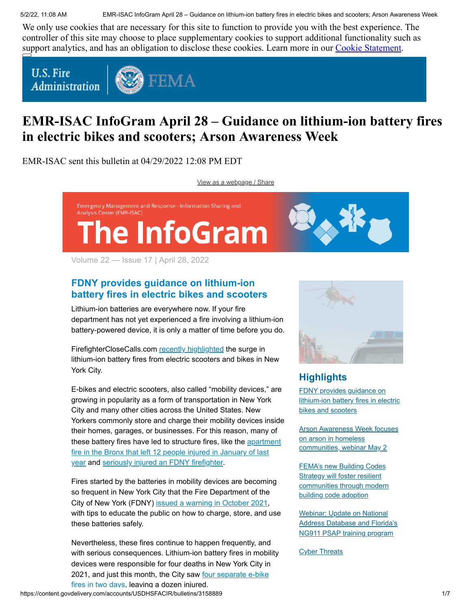5/2/22, 11:08 AM EMR-ISAC InfoGram April 28 – Guidance on lithium-ion battery fires in electric bikes and scooters; Arson Awareness Week

We only use cookies that are necessary for this site to function to provide you with the best experience. The controller of this site may choose to place supplementary cookies to support additional functionality such as support analytics, and has an obligation to disclose these cookies. Learn more in our [Cookie Statement.](https://subscriberhelp.granicus.com/s/article/Cookies)

**U.S. Fire Administration** 



# **EMR-ISAC InfoGram April 28 – Guidance on lithium-ion battery fires in electric bikes and scooters; Arson Awareness Week**

EMR-ISAC sent this bulletin at 04/29/2022 12:08 PM EDT

[View as a webpage / Share](https://content.govdelivery.com/accounts/USDHSFACIR/bulletins/3158889)



Volume 22 — Issue 17 | April 28, 2022

# <span id="page-0-0"></span>**FDNY provides guidance on lithium-ion battery fires in electric bikes and scooters**

Lithium-ion batteries are everywhere now. If your fire department has not yet experienced a fire involving a lithium-ion battery-powered device, it is only a matter of time before you do.

FirefighterCloseCalls.com [recently highlighted](https://www.firefighterclosecalls.com/pay-attention-lithium-ion-batteries-are-everywhere-the-secret-list/) the surge in lithium-ion battery fires from electric scooters and bikes in New York City.

E-bikes and electric scooters, also called "mobility devices," are growing in popularity as a form of transportation in New York City and many other cities across the United States. New Yorkers commonly store and charge their mobility devices inside their homes, garages, or businesses. For this reason, many of [these battery fires have led to structure fires, like the apartment](https://www.cbsnews.com/newyork/news/bronx-apartment-fire-electric-scooter-battery/) fire in the Bronx that left 12 people injured in January of last year and [seriously injured an FDNY firefighter.](https://www.firehouse.com/operations-training/news/21252461/lithiumion-battery-sparks-4alarm-bronx-fire)

Fires started by the batteries in mobility devices are becoming so frequent in New York City that the Fire Department of the City of New York (FDNY) [issued a warning in October 2021](https://www.nbcnewyork.com/news/local/fdny-issues-warning-in-wake-of-e-bike-battery-fires/3330989/), with tips to educate the public on how to charge, store, and use these batteries safely.

Nevertheless, these fires continue to happen frequently, and with serious consequences. Lithium-ion battery fires in mobility devices were responsible for four deaths in New York City in [2021, and just this month, the City saw four separate e-bike](https://www.nydailynews.com/new-york/nyc-crime/ny-four-fires-in-two-days-linked-to-scooter-batteries-20220422-agfcc6g2kbdb3gkk6oeoycal5q-story.html) fires in two days, leaving a dozen injured.



# **Highlights**

FDNY provides guidance on [lithium-ion battery fires in electric](#page-0-0) bikes and scooters

[Arson Awareness Week focuses](#page-1-0) on arson in homeless communities, webinar May 2

FEMA's new Building Codes **Strategy will foster resilient** [communities through modern](#page-2-0) building code adoption

Webinar: Update on National [Address Database and Florida's](#page-3-0) NG911 PSAP training program

**[Cyber Threats](#page-4-0)**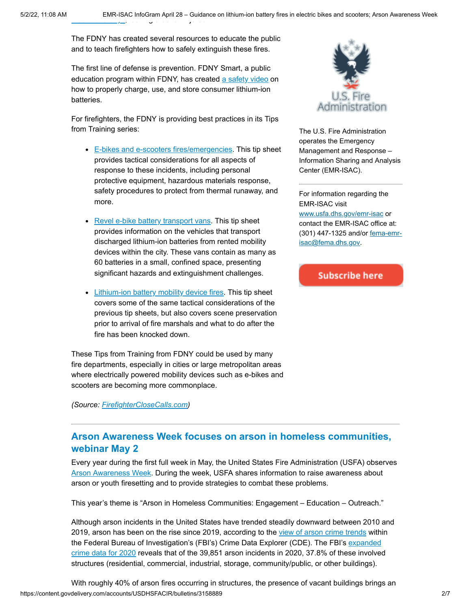The FDNY has created several resources to educate the public and to teach firefighters how to safely extinguish these fires.

The first line of defense is prevention. FDNY Smart, a public education program within FDNY, has created [a safety video](https://www.fdnysmart.org/be-fdnysmart-when-using-any-devices-powered-by-lithium-ion-batteries/) on how to properly charge, use, and store consumer lithium-ion batteries.

For firefighters, the FDNY is providing best practices in its Tips from Training series:

- **[E-bikes and e-scooters fires/emergencies](https://drive.google.com/file/d/1b-xxxtdaTuj-OytNiOJ2bJ366iy3Od7_/view). This tip sheet** provides tactical considerations for all aspects of response to these incidents, including personal protective equipment, hazardous materials response, safety procedures to protect from thermal runaway, and more.
- [Revel e-bike battery transport vans.](https://drive.google.com/file/d/1Qa3B9BDlaeSqf6x7GcQtGG6fCGkoFmgy/view) This tip sheet provides information on the vehicles that transport discharged lithium-ion batteries from rented mobility devices within the city. These vans contain as many as 60 batteries in a small, confined space, presenting significant hazards and extinguishment challenges.
- [Lithium-ion battery mobility device fires.](https://drive.google.com/file/d/1Qxo7u9Z5cI1tNC5BzFwt9QOik78mEQHN/view) This tip sheet covers some of the same tactical considerations of the previous tip sheets, but also covers scene preservation prior to arrival of fire marshals and what to do after the fire has been knocked down.

These Tips from Training from FDNY could be used by many fire departments, especially in cities or large metropolitan areas where electrically powered mobility devices such as e-bikes and scooters are becoming more commonplace.

*(Source: [FirefighterCloseCalls.com\)](https://www.firefighterclosecalls.com/pay-attention-lithium-ion-batteries-are-everywhere-the-secret-list/)*



The U.S. Fire Administration operates the Emergency Management and Response – Information Sharing and Analysis Center (EMR-ISAC).

For information regarding the EMR-ISAC visit [www.usfa.dhs.gov/emr-isac](https://www.usfa.fema.gov/operations/ops_cip.html) or contact the EMR-ISAC office at: [\(301\) 447-1325 and/or fema-emr](mailto:fema-emr-isac@fema.dhs.gov)isac@fema.dhs.gov.

**Subscribe here** 

### <span id="page-1-0"></span>**Arson Awareness Week focuses on arson in homeless communities, webinar May 2**

Every year during the first full week in May, the United States Fire Administration (USFA) observes [Arson Awareness Week](https://www.usfa.fema.gov/aaw/index.html). During the week, USFA shares information to raise awareness about arson or youth firesetting and to provide strategies to combat these problems.

This year's theme is "Arson in Homeless Communities: Engagement – Education – Outreach."

Although arson incidents in the United States have trended steadily downward between 2010 and 2019, arson has been on the rise since 2019, according to the [view of arson crime trends](https://crime-data-explorer.app.cloud.gov/pages/explorer/crime/crime-trend) within the Federal Bureau of Investigation's (FBI's) Crime Data Explorer (CDE). The FBI's expanded [crime data for 2020 reveals that of the 39,851 arson incidents in 2020, 37.8% of these involved](https://crime-data-explorer.app.cloud.gov/pages/downloads) structures (residential, commercial, industrial, storage, community/public, or other buildings).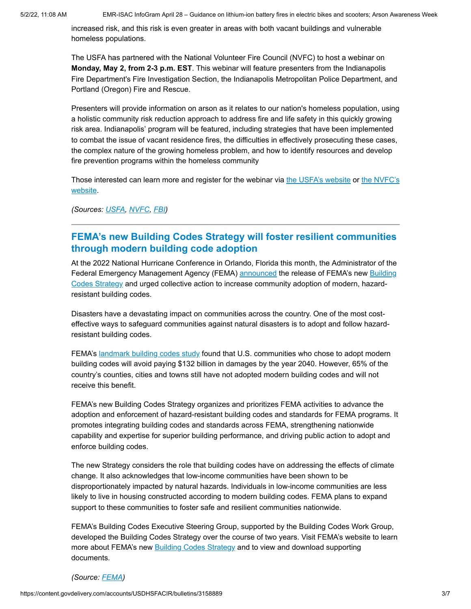increased risk, and this risk is even greater in areas with both vacant buildings and vulnerable homeless populations.

The USFA has partnered with the National Volunteer Fire Council (NVFC) to host a webinar on **Monday, May 2, from 2-3 p.m. EST**. This webinar will feature presenters from the Indianapolis Fire Department's Fire Investigation Section, the Indianapolis Metropolitan Police Department, and Portland (Oregon) Fire and Rescue.

Presenters will provide information on arson as it relates to our nation's homeless population, using a holistic community risk reduction approach to address fire and life safety in this quickly growing risk area. Indianapolis' program will be featured, including strategies that have been implemented to combat the issue of vacant residence fires, the difficulties in effectively prosecuting these cases, the complex nature of the growing homeless problem, and how to identify resources and develop fire prevention programs within the homeless community

[Those interested can learn more and register for the webinar via](https://www.nvfc.org/event/webinar-arson-awareness-in-homeless-communities-engagement-education-outreach/) [the USFA's websit](https://www.usfa.fema.gov/aaw/index.html)[e or the NVFC's](https://www.nvfc.org/event/webinar-arson-awareness-in-homeless-communities-engagement-education-outreach/) website.

*(Sources: [USFA](https://www.usfa.fema.gov/aaw/index.html), [NVFC,](https://www.nvfc.org/event/webinar-arson-awareness-in-homeless-communities-engagement-education-outreach/) [FBI\)](https://crime-data-explorer.app.cloud.gov/pages/explorer/crime/crime-trend)*

### <span id="page-2-0"></span>**FEMA's new Building Codes Strategy will foster resilient communities through modern building code adoption**

At the 2022 National Hurricane Conference in Orlando, Florida this month, the Administrator of the [Federal Emergency Management Agency \(FEMA\) a](https://www.fema.gov/emergency-managers/risk-management/building-science/building-codes-strategy)[nnounced](https://www.fema.gov/press-release/20220413/fema-administrator-criswell-urges-resilience-planning-during-national) [the release of FEMA's new Building](https://www.fema.gov/emergency-managers/risk-management/building-science/building-codes-strategy) Codes Strategy and urged collective action to increase community adoption of modern, hazardresistant building codes.

Disasters have a devastating impact on communities across the country. One of the most costeffective ways to safeguard communities against natural disasters is to adopt and follow hazardresistant building codes.

FEMA's [landmark building codes study](https://www.fema.gov/emergency-managers/risk-management/building-science/building-codes-save-study) found that U.S. communities who chose to adopt modern building codes will avoid paying \$132 billion in damages by the year 2040. However, 65% of the country's counties, cities and towns still have not adopted modern building codes and will not receive this benefit.

FEMA's new Building Codes Strategy organizes and prioritizes FEMA activities to advance the adoption and enforcement of hazard-resistant building codes and standards for FEMA programs. It promotes integrating building codes and standards across FEMA, strengthening nationwide capability and expertise for superior building performance, and driving public action to adopt and enforce building codes.

The new Strategy considers the role that building codes have on addressing the effects of climate change. It also acknowledges that low-income communities have been shown to be disproportionately impacted by natural hazards. Individuals in low-income communities are less likely to live in housing constructed according to modern building codes. FEMA plans to expand support to these communities to foster safe and resilient communities nationwide.

FEMA's Building Codes Executive Steering Group, supported by the Building Codes Work Group, developed the Building Codes Strategy over the course of two years. Visit FEMA's website to learn more about FEMA's new [Building Codes Strategy](https://www.fema.gov/emergency-managers/risk-management/building-science/building-codes-strategy) and to view and download supporting documents.

#### *(Source: [FEMA](https://www.fema.gov/emergency-managers/risk-management/building-science/building-codes-strategy))*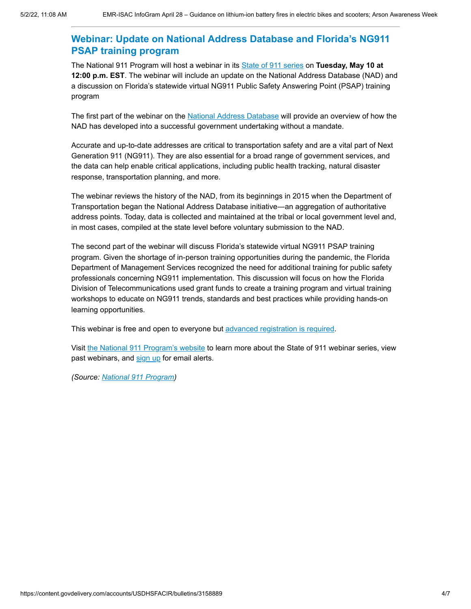## <span id="page-3-0"></span>**Webinar: Update on National Address Database and Florida's NG911 PSAP training program**

The National 911 Program will host a webinar in its [State of 911 series](https://www.911.gov/webinars.html) on **Tuesday, May 10 at 12:00 p.m. EST**. The webinar will include an update on the National Address Database (NAD) and a discussion on Florida's statewide virtual NG911 Public Safety Answering Point (PSAP) training program

The first part of the webinar on the [National Address Database](https://www.transportation.gov/gis/national-address-database) will provide an overview of how the NAD has developed into a successful government undertaking without a mandate.

Accurate and up-to-date addresses are critical to transportation safety and are a vital part of Next Generation 911 (NG911). They are also essential for a broad range of government services, and the data can help enable critical applications, including public health tracking, natural disaster response, transportation planning, and more.

The webinar reviews the history of the NAD, from its beginnings in 2015 when the Department of Transportation began the National Address Database initiative―an aggregation of authoritative address points. Today, data is collected and maintained at the tribal or local government level and, in most cases, compiled at the state level before voluntary submission to the NAD.

The second part of the webinar will discuss Florida's statewide virtual NG911 PSAP training program. Given the shortage of in-person training opportunities during the pandemic, the Florida Department of Management Services recognized the need for additional training for public safety professionals concerning NG911 implementation. This discussion will focus on how the Florida Division of Telecommunications used grant funds to create a training program and virtual training workshops to educate on NG911 trends, standards and best practices while providing hands-on learning opportunities.

This webinar is free and open to everyone but [advanced registration is required.](https://us06web.zoom.us/webinar/register/WN_b6CoAmK4StKtOPh5Ufq67Q)

Visit [the National 911 Program's website](https://www.911.gov/webinars.html) to learn more about the State of 911 webinar series, view past webinars, and [sign up](https://public.govdelivery.com/accounts/USDOTNHTSA911/subscriber/new) for email alerts.

*(Source: [National 911 Program](https://www.911.gov/webinars.html))*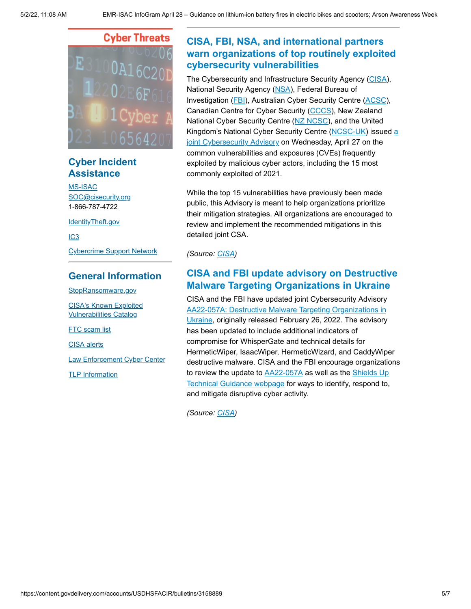

# **Cyber Incident Assistance**

[MS-ISAC](https://www.cisecurity.org/ms-isac/) [SOC@cisecurity.org](mailto:SOC@cisecurity.org) 1-866-787-4722

[IdentityTheft.gov](https://identitytheft.gov/)

[IC3](https://www.ic3.gov/default.aspx)

[Cybercrime Support Network](https://fraudsupport.org/)

### **General Information**

[StopRansomware.gov](https://www.cisa.gov/stopransomware)

[CISA's Known Exploited](https://www.cisa.gov/known-exploited-vulnerabilities-catalog) Vulnerabilities Catalog

**FTC** scam list

[CISA alerts](https://us-cert.cisa.gov/ncas)

[Law Enforcement Cyber Center](https://www.iacpcybercenter.org/)

[TLP Information](https://us-cert.cisa.gov/tlp)

# <span id="page-4-0"></span>**CISA, FBI, NSA, and international partners warn organizations of top routinely exploited cybersecurity vulnerabilities**

The Cybersecurity and Infrastructure Security Agency ([CISA\)](https://www.cisa.gov/), National Security Agency ([NSA\)](https://www.nsa.gov/Cybersecurity/), Federal Bureau of Investigation ([FBI](https://www.fbi.gov/investigate/cyber)), Australian Cyber Security Centre [\(ACSC](https://www.cyber.gov.au/)), Canadian Centre for Cyber Security [\(CCCS\)](https://www.cyber.gc.ca/en/), New Zealand National Cyber Security Centre [\(NZ NCSC](https://www.gcsb.govt.nz/)), and the United [Kingdom's National Cyber Security Centre \(](https://www.cisa.gov/uscert/ncas/alerts/aa22-117a)[NCSC-U](https://www.ncsc.gov.uk/)[K\) issued a](https://www.cisa.gov/uscert/ncas/alerts/aa22-117a) joint Cybersecurity Advisory on Wednesday, April 27 on the common vulnerabilities and exposures (CVEs) frequently exploited by malicious cyber actors, including the 15 most commonly exploited of 2021.

While the top 15 vulnerabilities have previously been made public, this Advisory is meant to help organizations prioritize their mitigation strategies. All organizations are encouraged to review and implement the recommended mitigations in this detailed joint CSA.

*(Source: [CISA](https://www.cisa.gov/news/2022/04/27/cisa-fbi-nsa-and-international-partners-warn-organizations-top-routinely-exploited))*

# **CISA and FBI update advisory on Destructive Malware Targeting Organizations in Ukraine**

CISA and the FBI have updated joint Cybersecurity Advisory [AA22-057A: Destructive Malware Targeting Organizations in](https://www.cisa.gov/uscert/ncas/alerts/aa22-057a) Ukraine, originally released February 26, 2022. The advisory has been updated to include additional indicators of compromise for WhisperGate and technical details for HermeticWiper, IsaacWiper, HermeticWizard, and CaddyWiper destructive malware. CISA and the FBI encourage organizations [to review the update to](https://www.cisa.gov/uscert/shields-technical-guidance) [AA22-057A](https://www.cisa.gov/uscert/ncas/alerts/aa22-057a) [as well as the Shields Up](https://www.cisa.gov/uscert/shields-technical-guidance) Technical Guidance webpage for ways to identify, respond to, and mitigate disruptive cyber activity.

*(Source: [CISA](https://www.cisa.gov/uscert/ncas/current-activity/2022/04/28/cisa-and-fbi-update-advisory-destructive-malware-targeting))*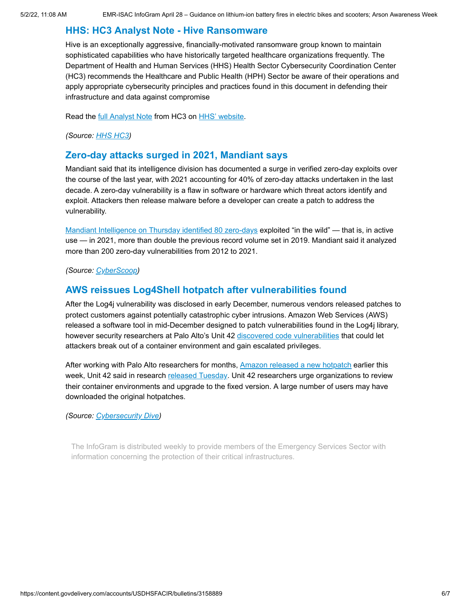### **HHS: HC3 Analyst Note - Hive Ransomware**

Hive is an exceptionally aggressive, financially-motivated ransomware group known to maintain sophisticated capabilities who have historically targeted healthcare organizations frequently. The Department of Health and Human Services (HHS) Health Sector Cybersecurity Coordination Center (HC3) recommends the Healthcare and Public Health (HPH) Sector be aware of their operations and apply appropriate cybersecurity principles and practices found in this document in defending their infrastructure and data against compromise

Read the [full Analyst Note](https://www.hhs.gov/sites/default/files/hive-ransomware-analyst-note-tlpwhite.pdf) from HC3 on [HHS' website](https://www.hhs.gov/about/agencies/asa/ocio/hc3/products/index.html#other-products).

*(Source: [HHS HC3\)](https://www.hhs.gov/sites/default/files/hive-ransomware-analyst-note-tlpwhite.pdf)*

#### **Zero-day attacks surged in 2021, Mandiant says**

Mandiant said that its intelligence division has documented a surge in verified zero-day exploits over the course of the last year, with 2021 accounting for 40% of zero-day attacks undertaken in the last decade. A zero-day vulnerability is a flaw in software or hardware which threat actors identify and exploit. Attackers then release malware before a developer can create a patch to address the vulnerability.

[Mandiant Intelligence on Thursday identified 80 zero-days](https://www.mandiant.com/resources/zero-days-exploited-2021) exploited "in the wild" — that is, in active use — in 2021, more than double the previous record volume set in 2019. Mandiant said it analyzed more than 200 zero-day vulnerabilities from 2012 to 2021.

*(Source: [CyberScoop](https://www.cyberscoop.com/zero-day-attacks-surge-2022-mandiant-google/))*

#### **AWS reissues Log4Shell hotpatch after vulnerabilities found**

After the Log4j vulnerability was disclosed in early December, numerous vendors released patches to protect customers against potentially catastrophic cyber intrusions. Amazon Web Services (AWS) released a software tool in mid-December designed to patch vulnerabilities found in the Log4j library, however security researchers at Palo Alto's Unit 42 [discovered code vulnerabilities](https://unit42.paloaltonetworks.com/aws-log4shell-hot-patch-vulnerabilities/) that could let attackers break out of a container environment and gain escalated privileges.

After working with Palo Alto researchers for months, [Amazon released a new hotpatch](https://aws.amazon.com/security/security-bulletins/AWS-2022-006/) earlier this week, Unit 42 said in research [released Tuesday.](https://unit42.paloaltonetworks.com/aws-log4shell-hot-patch-vulnerabilities/) Unit 42 researchers urge organizations to review their container environments and upgrade to the fixed version. A large number of users may have downloaded the original hotpatches.

*(Source: [Cybersecurity Dive\)](https://www.cybersecuritydive.com/news/aws-new-log4shell-hotpatch-vulnerabilities/622546/)*

The InfoGram is distributed weekly to provide members of the Emergency Services Sector with information concerning the protection of their critical infrastructures.